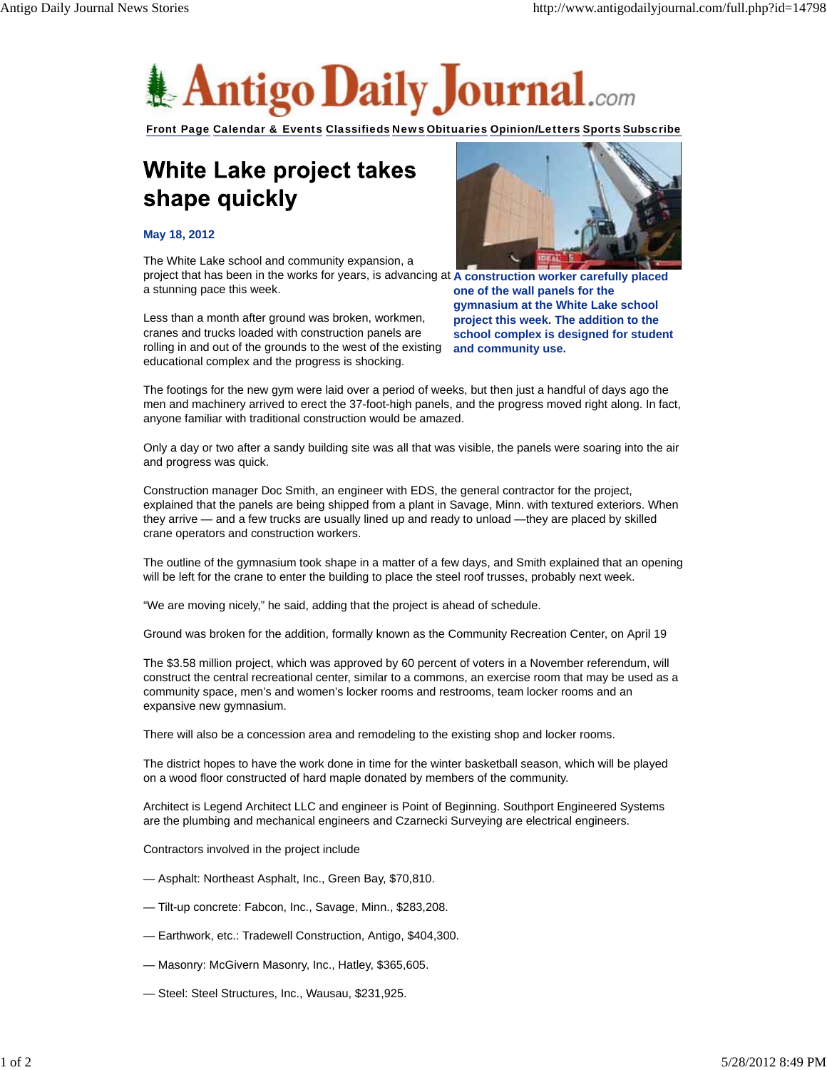

Front Page Calendar & Events Classifieds News Obituaries Opinion/Letters Sports Subscribe

## White Lake project takes shape quickly

## **May 18, 2012**

project that has been in the works for years, is advancing at A construction worker carefully placed The White Lake school and community expansion, a a stunning pace this week.

Less than a month after ground was broken, workmen, cranes and trucks loaded with construction panels are rolling in and out of the grounds to the west of the existing educational complex and the progress is shocking.



**one of the wall panels for the gymnasium at the White Lake school project this week. The addition to the school complex is designed for student and community use.**

The footings for the new gym were laid over a period of weeks, but then just a handful of days ago the men and machinery arrived to erect the 37-foot-high panels, and the progress moved right along. In fact, anyone familiar with traditional construction would be amazed.

Only a day or two after a sandy building site was all that was visible, the panels were soaring into the air and progress was quick.

Construction manager Doc Smith, an engineer with EDS, the general contractor for the project, explained that the panels are being shipped from a plant in Savage, Minn. with textured exteriors. When they arrive — and a few trucks are usually lined up and ready to unload —they are placed by skilled crane operators and construction workers.

The outline of the gymnasium took shape in a matter of a few days, and Smith explained that an opening will be left for the crane to enter the building to place the steel roof trusses, probably next week.

"We are moving nicely," he said, adding that the project is ahead of schedule.

Ground was broken for the addition, formally known as the Community Recreation Center, on April 19

The \$3.58 million project, which was approved by 60 percent of voters in a November referendum, will construct the central recreational center, similar to a commons, an exercise room that may be used as a community space, men's and women's locker rooms and restrooms, team locker rooms and an expansive new gymnasium.

There will also be a concession area and remodeling to the existing shop and locker rooms.

The district hopes to have the work done in time for the winter basketball season, which will be played on a wood floor constructed of hard maple donated by members of the community.

Architect is Legend Architect LLC and engineer is Point of Beginning. Southport Engineered Systems are the plumbing and mechanical engineers and Czarnecki Surveying are electrical engineers.

Contractors involved in the project include

- Asphalt: Northeast Asphalt, Inc., Green Bay, \$70,810.
- Tilt-up concrete: Fabcon, Inc., Savage, Minn., \$283,208.
- Earthwork, etc.: Tradewell Construction, Antigo, \$404,300.
- Masonry: McGivern Masonry, Inc., Hatley, \$365,605.
- Steel: Steel Structures, Inc., Wausau, \$231,925.